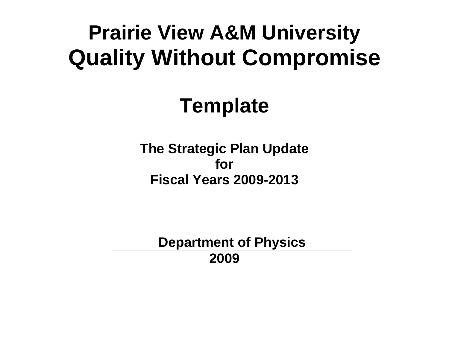# **Prairie View A&M University Quality Without Compromise**

# **Template**

**The Strategic Plan Update for Fiscal Years 2009-2013** 

**Department of Physics 2009**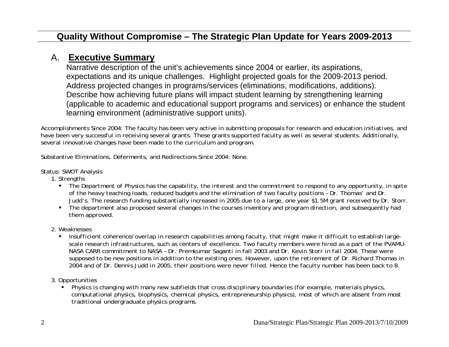#### A. **Executive Summary**

Narrative description of the unit's achievements since 2004 or earlier, its aspirations, expectations and its unique challenges. Highlight projected goals for the 2009-2013 period. Address projected changes in programs/services (eliminations, modifications, additions). Describe how achieving future plans will impact student learning by strengthening learning (applicable to academic and educational support programs and services) or enhance the student learning environment (administrative support units).

Accomplishments Since 2004: *The faculty has been very active in submitting proposals for research and education initiatives, and have been very successful in receiving several grants. These grants supported faculty as well as several students. Additionally, several innovative changes have been made to the curriculum and program.* 

Substantive Eliminations, Deferments, and Redirections Since 2004: *None.* 

#### Status: SWOT Analysis

1. Strengths

- *The Department of Physics has the capability, the interest and the commitment to respond to any opportunity, in spite of the heavy teaching loads, reduced budgets and the elimination of two faculty positions – Dr. Thomas' and Dr. Judd's. The research funding substantially increased in 2005 due to a large, one year \$1.5M grant received by Dr. Storr.*
- *The department also proposed several changes in the courses inventory and program direction, and subsequently had them approved.*
- 2. Weaknesses
	- *Insufficient coherence/overlap in research capabilities among faculty, that might make it difficult to establish largescale research infrastructures, such as centers of excellence. Two faculty members were hired as a part of the PVAMU-NASA CARR commitment to NASA – Dr. Premkumar Saganti in fall 2003 and Dr. Kevin Storr in fall 2004. These were supposed to be new positions in addition to the existing ones. However, upon the retirement of Dr. Richard Thomas in 2004 and of Dr. Dennis Judd in 2005, their positions were never filled. Hence the faculty number has been back to 8.*
- 3. Opportunities
	- *Physics is changing with many new subfields that cross disciplinary boundaries (for example, materials physics, computational physics, biophysics, chemical physics, entrepreneurship physics), most of which are absent from most traditional undergraduate physics programs.*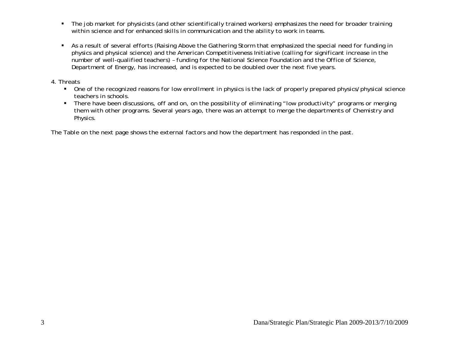- *The job market for physicists (and other scientifically trained workers) emphasizes the need for broader training within science and for enhanced skills in communication and the ability to work in teams.*
- *As a result of several efforts (Raising Above the Gathering Storm that emphasized the special need for funding in physics and physical science) and the American Competitiveness Initiative (calling for significant increase in the number of well-qualified teachers) – funding for the National Science Foundation and the Office of Science, Department of Energy, has increased, and is expected to be doubled over the next five years.*

#### 4. Threats

- *One of the recognized reasons for low enrollment in physics is the lack of properly prepared physics/physical science teachers in schools.*
- *There have been discussions, off and on, on the possibility of eliminating "low productivity" programs or merging them with other programs. Several years ago, there was an attempt to merge the departments of Chemistry and Physics.*

*The Table on the next page shows the external factors and how the department has responded in the past.*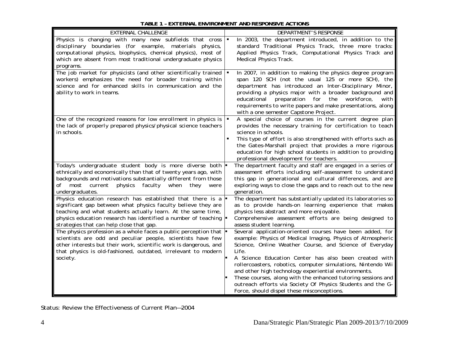#### *TABLE 1 – EXTERNAL ENVIRONMENT AND RESPONSIVE ACTIONS*

| EXTERNAL CHALLENGE                                                                                                                                                                                                                                                                                                       | <b>DEPARTMENT'S RESPONSE</b>                                                                                                                                                                                                                                                                                                                                                                                                                                                                                                                               |
|--------------------------------------------------------------------------------------------------------------------------------------------------------------------------------------------------------------------------------------------------------------------------------------------------------------------------|------------------------------------------------------------------------------------------------------------------------------------------------------------------------------------------------------------------------------------------------------------------------------------------------------------------------------------------------------------------------------------------------------------------------------------------------------------------------------------------------------------------------------------------------------------|
| Physics is changing with many new subfields that cross $\vert \bullet \vert$<br>disciplinary boundaries (for example, materials physics,<br>computational physics, biophysics, chemical physics), most of<br>which are absent from most traditional undergraduate physics<br>programs.                                   | In 2003, the department introduced, in addition to the<br>standard Traditional Physics Track, three more tracks:<br>Applied Physics Track, Computational Physics Track and<br>Medical Physics Track.                                                                                                                                                                                                                                                                                                                                                       |
| The job market for physicists (and other scientifically trained $\blacksquare$<br>workers) emphasizes the need for broader training within<br>science and for enhanced skills in communication and the<br>ability to work in teams.                                                                                      | In 2007, in addition to making the physics degree program<br>span 120 SCH (not the usual 125 or more SCH), the<br>department has introduced an Inter-Disciplinary Minor,<br>providing a physics major with a broader background and<br>educational preparation for the<br>workforce,<br>with<br>requirements to write papers and make presentations, along<br>with a one semester Capstone Project.                                                                                                                                                        |
| One of the recognized reasons for low enrollment in physics is<br>the lack of properly prepared physics/physical science teachers<br>in schools.                                                                                                                                                                         | A special choice of courses in the current degree plan<br>$\blacksquare$<br>provides the necessary training for certification to teach<br>science in schools.<br>This type of effort is also strengthened with efforts such as<br>٠<br>the Gates-Marshall project that provides a more rigorous<br>education for high school students in addition to providing<br>professional development for teachers.                                                                                                                                                   |
| Today's undergraduate student body is more diverse both<br>ethnically and economically than that of twenty years ago, with<br>backgrounds and motivations substantially different from those<br>of most current physics<br>faculty when<br>they<br>were<br>undergraduates.                                               | The department faculty and staff are engaged in a series of<br>assessment efforts including self-assessment to understand<br>this gap in generational and cultural differences, and are<br>exploring ways to close the gaps and to reach out to the new<br><i>generation.</i>                                                                                                                                                                                                                                                                              |
| Physics education research has established that there is a<br>significant gap between what physics faculty believe they are<br>teaching and what students actually learn. At the same time,<br>physics education research has identified a number of teaching $\blacksquare$<br>strategies that can help close that gap. | The department has substantially updated its laboratories so<br>as to provide hands-on learning experience that makes<br>physics less abstract and more enjoyable.<br>Comprehensive assessment efforts are being designed to<br>assess student learning.                                                                                                                                                                                                                                                                                                   |
| The physics profession as a whole faces a public perception that $\blacktriangleright$<br>scientists are odd and peculiar people, scientists have few<br>other interests but their work, scientific work is dangerous, and<br>that physics is old-fashioned, outdated, irrelevant to modern<br>society.                  | Several application-oriented courses have been added, for<br>example: Physics of Medical Imaging, Physics of Atmospheric<br>Science, Online Weather Course, and Science of Everyday<br>Life.<br>A Science Education Center has also been created with<br>rollercoasters, robotics, computer simulations, Nintendo Wii<br>and other high technology experiential environments.<br>These courses, along with the enhanced tutoring sessions and<br>outreach efforts via Society Of Physics Students and the G-<br>Force, should dispel these misconceptions. |

Status: Review the Effectiveness of Current Plan—2004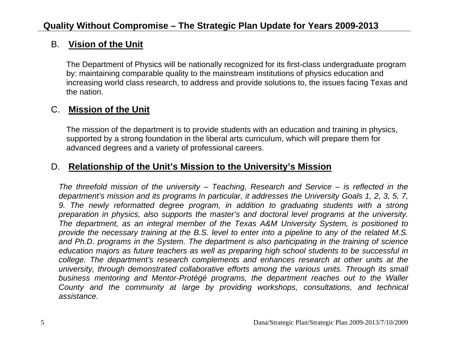#### B. **Vision of the Unit**

The Department of Physics will be nationally recognized for its first-class undergraduate program by: maintaining comparable quality to the mainstream institutions of physics education and increasing world class research, to address and provide solutions to, the issues facing Texas and the nation.

#### C. **Mission of the Unit**

The mission of the department is to provide students with an education and training in physics, supported by a strong foundation in the liberal arts curriculum, which will prepare them for advanced degrees and a variety of professional careers.

## D. **Relationship of the Unit's Mission to the University's Mission**

*The threefold mission of the university – Teaching, Research and Service – is reflected in the department's mission and its programs In particular, it addresses the University Goals 1, 2, 3, 5, 7,*  9. The newly reformatted degree program, in addition to graduating students with a strong *preparation in physics, also supports the master's and doctoral level programs at the university. The department, as an integral member of the Texas A&M University System, is positioned to provide the necessary training at the B.S. level to enter into a pipeline to any of the related M.S.*  and Ph.D. programs in the System. The department is also participating in the training of science *education majors as future teachers as well as preparing high school students to be successful in college. The department's research complements and enhances research at other units at the university, through demonstrated collaborative efforts among the various units. Through its small business mentoring and Mentor-Protégé programs, the department reaches out to the Waller County and the community at large by providing workshops, consultations, and technical assistance.*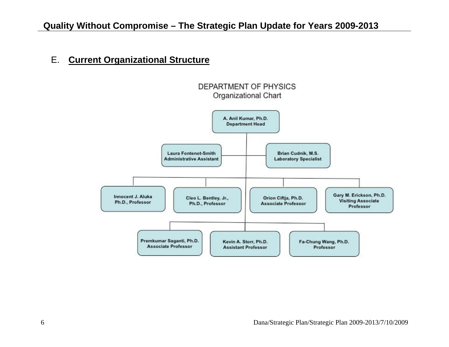#### E. **Current Organizational Structure**

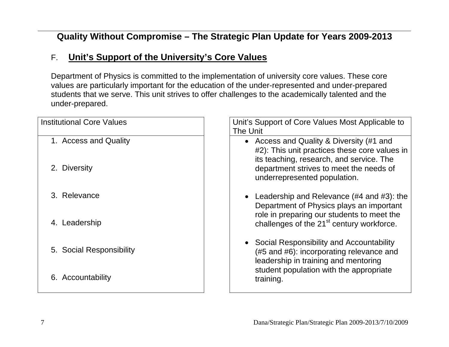# F. **Unit's Support of the University's Core Values**

Department of Physics is committed to the implementation of university core values. These core values are particularly important for the education of the under-represented and under-prepared students that we serve. This unit strives to offer challenges to the academically talented and the under-prepared.

| <b>Institutional Core Values</b> | Unit's Support of Core Values Most Applicable to                                                                               |
|----------------------------------|--------------------------------------------------------------------------------------------------------------------------------|
|                                  | The Unit                                                                                                                       |
| 1. Access and Quality            | • Access and Quality & Diversity (#1 and<br>#2): This unit practices these core values in                                      |
| 2. Diversity                     | its teaching, research, and service. The<br>department strives to meet the needs of<br>underrepresented population.            |
| 3. Relevance                     | • Leadership and Relevance $(\#4 \text{ and } \#3)$ : the<br>Department of Physics plays an important                          |
| 4. Leadership                    | role in preparing our students to meet the<br>challenges of the 21 <sup>st</sup> century workforce.                            |
| 5. Social Responsibility         | • Social Responsibility and Accountability<br>(#5 and #6): incorporating relevance and<br>leadership in training and mentoring |
| 6. Accountability                | student population with the appropriate<br>training.                                                                           |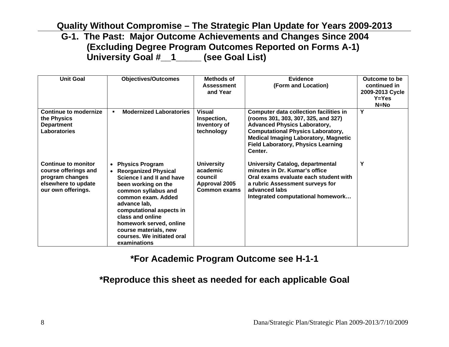**G-1. The Past: Major Outcome Achievements and Changes Since 2004 (Excluding Degree Program Outcomes Reported on Forms A-1) University Goal #\_\_1\_\_\_\_\_ (see Goal List)** 

| <b>Unit Goal</b>                                                                                            | <b>Objectives/Outcomes</b>                                                                                                                                                                                                                                                                                          | Methods of<br><b>Assessment</b><br>and Year                                             | Evidence<br>(Form and Location)                                                                                                                                                                                                                                                | Outcome to be<br>continued in<br>2009-2013 Cycle<br>$Y = Yes$<br>$N=NO$ |
|-------------------------------------------------------------------------------------------------------------|---------------------------------------------------------------------------------------------------------------------------------------------------------------------------------------------------------------------------------------------------------------------------------------------------------------------|-----------------------------------------------------------------------------------------|--------------------------------------------------------------------------------------------------------------------------------------------------------------------------------------------------------------------------------------------------------------------------------|-------------------------------------------------------------------------|
| Continue to modernize<br>the Physics<br><b>Department</b><br>Laboratories                                   | <b>Modernized Laboratories</b><br>$\blacksquare$                                                                                                                                                                                                                                                                    | <b>Visual</b><br>Inspection,<br>Inventory of<br>technology                              | <b>Computer data collection facilities in</b><br>(rooms 301, 303, 307, 325, and 327)<br><b>Advanced Physics Laboratory,</b><br><b>Computational Physics Laboratory,</b><br><b>Medical Imaging Laboratory, Magnetic</b><br><b>Field Laboratory, Physics Learning</b><br>Center. | Y                                                                       |
| Continue to monitor<br>course offerings and<br>program changes<br>elsewhere to update<br>our own offerings. | • Physics Program<br><b>Reorganized Physical</b><br>Science I and II and have<br>been working on the<br>common syllabus and<br>common exam. Added<br>advance lab,<br>computational aspects in<br>class and online<br>homework served, online<br>course materials, new<br>courses. We initiated oral<br>examinations | <b>University</b><br>academic<br>council<br><b>Approval 2005</b><br><b>Common exams</b> | <b>University Catalog, departmental</b><br>minutes in Dr. Kumar's office<br>Oral exams evaluate each student with<br>a rubric Assessment surveys for<br>advanced labs<br>Integrated computational homework                                                                     | Y                                                                       |

#### **\*For Academic Program Outcome see H-1-1**

## **\*Reproduce this sheet as needed for each applicable Goal**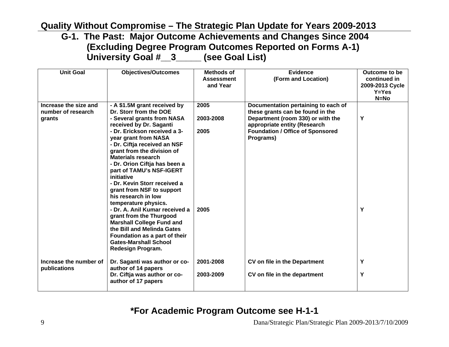**G-1. The Past: Major Outcome Achievements and Changes Since 2004 (Excluding Degree Program Outcomes Reported on Forms A-1) University Goal #\_\_3\_\_\_\_\_ (see Goal List)** 

| <b>Unit Goal</b>                                      | <b>Objectives/Outcomes</b>                                                                                                                                                                                                                                                                                                                                                                                                                                                                                      | Methods of<br><b>Assessment</b><br>and Year | <b>Evidence</b><br>(Form and Location)                                                                                                                                                               | Outcome to be<br>continued in<br>2009-2013 Cycle<br>$Y = Yes$<br>$N=NO$ |
|-------------------------------------------------------|-----------------------------------------------------------------------------------------------------------------------------------------------------------------------------------------------------------------------------------------------------------------------------------------------------------------------------------------------------------------------------------------------------------------------------------------------------------------------------------------------------------------|---------------------------------------------|------------------------------------------------------------------------------------------------------------------------------------------------------------------------------------------------------|-------------------------------------------------------------------------|
| Increase the size and<br>number of research<br>grants | - A \$1.5M grant received by<br>Dr. Storr from the DOE<br>- Several grants from NASA<br>received by Dr. Saganti<br>- Dr. Erickson received a 3-<br>year grant from NASA<br>- Dr. Ciftja received an NSF<br>grant from the division of<br>Materials research<br>- Dr. Orion Ciftja has been a<br>part of TAMU's NSF-IGERT<br>initiative<br>- Dr. Kevin Storr received a<br>grant from NSF to support<br>his research in low<br>temperature physics.<br>- Dr. A. Anil Kumar received a<br>grant from the Thurgood | 2005<br>2003-2008<br>2005<br>2005           | Documentation pertaining to each of<br>these grants can be found in the<br>Department (room 330) or with the<br>appropriate entity (Research<br><b>Foundation / Office of Sponsored</b><br>Programs) | Υ<br>Υ                                                                  |
|                                                       | <b>Marshall College Fund and</b><br>the Bill and Melinda Gates<br>Foundation as a part of their<br><b>Gates-Marshall School</b><br>Redesign Program.                                                                                                                                                                                                                                                                                                                                                            |                                             |                                                                                                                                                                                                      |                                                                         |
| Increase the number of<br>publications                | Dr. Saganti was author or co-<br>author of 14 papers                                                                                                                                                                                                                                                                                                                                                                                                                                                            | 2001-2008                                   | CV on file in the Department                                                                                                                                                                         | Y                                                                       |
|                                                       | Dr. Ciftja was author or co-<br>author of 17 papers                                                                                                                                                                                                                                                                                                                                                                                                                                                             | 2003-2009                                   | CV on file in the department                                                                                                                                                                         | Υ                                                                       |

**\*For Academic Program Outcome see H-1-1**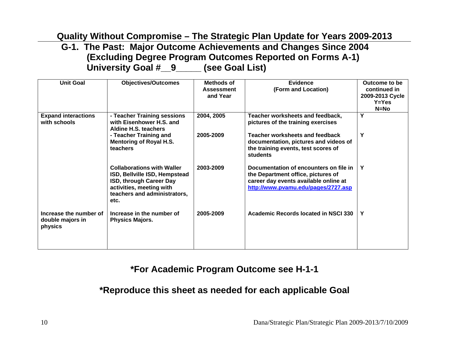#### **G-1. The Past: Major Outcome Achievements and Changes Since 2004 (Excluding Degree Program Outcomes Reported on Forms A-1) University Goal #\_\_9\_\_\_\_\_ (see Goal List)**

| <b>Unit Goal</b>                                      | <b>Objectives/Outcomes</b>                                                                                                                                        | Methods of        | Evidence                                                                                                                                                     | Outcome to be   |
|-------------------------------------------------------|-------------------------------------------------------------------------------------------------------------------------------------------------------------------|-------------------|--------------------------------------------------------------------------------------------------------------------------------------------------------------|-----------------|
|                                                       |                                                                                                                                                                   | <b>Assessment</b> | (Form and Location)                                                                                                                                          | continued in    |
|                                                       |                                                                                                                                                                   | and Year          |                                                                                                                                                              | 2009-2013 Cycle |
|                                                       |                                                                                                                                                                   |                   |                                                                                                                                                              | $Y = Yes$       |
|                                                       |                                                                                                                                                                   |                   |                                                                                                                                                              | $N=NO$          |
| <b>Expand interactions</b><br>with schools            | - Teacher Training sessions<br>with Eisenhower H.S. and<br><b>Aldine H.S. teachers</b>                                                                            | 2004, 2005        | Teacher worksheets and feedback,<br>pictures of the training exercises                                                                                       | Y               |
|                                                       | - Teacher Training and<br><b>Mentoring of Royal H.S.</b><br>teachers                                                                                              | 2005-2009         | Teacher worksheets and feedback<br>documentation, pictures and videos of<br>the training events, test scores of<br>students                                  | Υ               |
|                                                       | <b>Collaborations with Waller</b><br>ISD, Bellville ISD, Hempstead<br>ISD, through Career Day<br>activities, meeting with<br>teachers and administrators,<br>etc. | 2003-2009         | Documentation of encounters on file in<br>the Department office, pictures of<br>career day events available online at<br>http://www.pvamu.edu/pages/2727.asp | Y               |
| Increase the number of<br>double majors in<br>physics | Increase in the number of<br><b>Physics Majors.</b>                                                                                                               | 2005-2009         | Academic Records located in NSCI 330                                                                                                                         | Υ               |

# **\*For Academic Program Outcome see H-1-1**

#### **\*Reproduce this sheet as needed for each applicable Goal**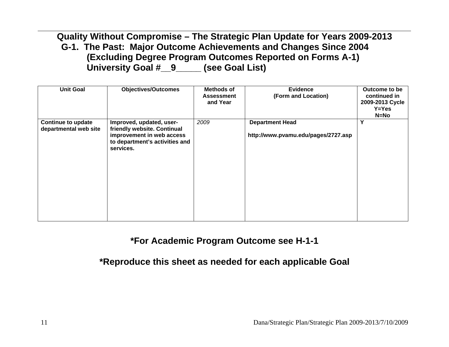**Quality Without Compromise – The Strategic Plan Update for Years 2009-2013 G-1. The Past: Major Outcome Achievements and Changes Since 2004 (Excluding Degree Program Outcomes Reported on Forms A-1) University Goal #\_\_9\_\_\_\_\_ (see Goal List)** 

| <b>Unit Goal</b>                                   | <b>Objectives/Outcomes</b>                                                                                                          | Methods of<br><b>Assessment</b><br>and Year | <b>Evidence</b><br>(Form and Location)                        | Outcome to be<br>continued in<br>2009-2013 Cycle<br>$Y = Yes$<br>$N=NO$ |
|----------------------------------------------------|-------------------------------------------------------------------------------------------------------------------------------------|---------------------------------------------|---------------------------------------------------------------|-------------------------------------------------------------------------|
| <b>Continue to update</b><br>departmental web site | Improved, updated, user-<br>friendly website. Continual<br>improvement in web access<br>to department's activities and<br>services. | 2009                                        | <b>Department Head</b><br>http://www.pvamu.edu/pages/2727.asp | Υ                                                                       |

#### **\*For Academic Program Outcome see H-1-1**

**\*Reproduce this sheet as needed for each applicable Goal**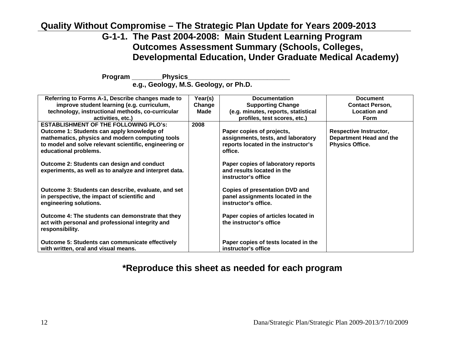#### **G-1-1. The Past 2004-2008: Main Student Learning Program Outcomes Assessment Summary (Schools, Colleges, Developmental Education, Under Graduate Medical Academy)**

Program Physics

**e.g., Geology, M.S. Geology, or Ph.D.** 

| Referring to Forms A-1, Describe changes made to       | Year(s) | <b>Documentation</b>                  | <b>Document</b>               |
|--------------------------------------------------------|---------|---------------------------------------|-------------------------------|
| improve student learning (e.g. curriculum,             | Change  | <b>Supporting Change</b>              | <b>Contact Person,</b>        |
| technology, instructional methods, co-curricular       | Made    | (e.g. minutes, reports, statistical   | <b>Location and</b>           |
| activities, etc.)                                      |         | profiles, test scores, etc.)          | <b>Form</b>                   |
| <b>ESTABLISHMENT OF THE FOLLOWING PLO's:</b>           | 2008    |                                       |                               |
| Outcome 1: Students can apply knowledge of             |         | Paper copies of projects,             | <b>Respective Instructor,</b> |
| mathematics, physics and modern computing tools        |         | assignments, tests, and laboratory    | Department Head and the       |
| to model and solve relevant scientific, engineering or |         | reports located in the instructor's   | <b>Physics Office.</b>        |
| educational problems.                                  |         | office.                               |                               |
|                                                        |         |                                       |                               |
| <b>Outcome 2: Students can design and conduct</b>      |         | Paper copies of laboratory reports    |                               |
| experiments, as well as to analyze and interpret data. |         | and results located in the            |                               |
|                                                        |         | instructor's office                   |                               |
|                                                        |         |                                       |                               |
| Outcome 3: Students can describe, evaluate, and set    |         | <b>Copies of presentation DVD and</b> |                               |
| in perspective, the impact of scientific and           |         | panel assignments located in the      |                               |
| engineering solutions.                                 |         | instructor's office.                  |                               |
|                                                        |         |                                       |                               |
| Outcome 4: The students can demonstrate that they      |         | Paper copies of articles located in   |                               |
| act with personal and professional integrity and       |         | the instructor's office               |                               |
| responsibility.                                        |         |                                       |                               |
|                                                        |         |                                       |                               |
| <b>Outcome 5: Students can communicate effectively</b> |         | Paper copies of tests located in the  |                               |
| with written, oral and visual means.                   |         | instructor's office                   |                               |

#### **\*Reproduce this sheet as needed for each program**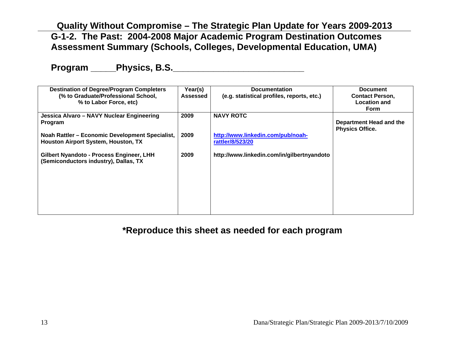#### **Quality Without Compromise – The Strategic Plan Update for Years 2009-2013 G-1-2. The Past: 2004-2008 Major Academic Program Destination Outcomes Assessment Summary (Schools, Colleges, Developmental Education, UMA)**

**Program \_\_\_\_\_Physics, B.S.\_\_\_\_\_\_\_\_\_\_\_\_\_\_\_\_\_\_\_\_\_\_\_\_\_\_** 

| <b>Destination of Degree/Program Completers</b><br>(% to Graduate/Professional School,<br>% to Labor Force, etc) | Year(s)<br>Assessed | <b>Documentation</b><br>(e.g. statistical profiles, reports, etc.) | <b>Document</b><br><b>Contact Person,</b><br><b>Location and</b><br><b>Form</b> |
|------------------------------------------------------------------------------------------------------------------|---------------------|--------------------------------------------------------------------|---------------------------------------------------------------------------------|
| Jessica Alvaro – NAVY Nuclear Engineering<br>Program                                                             | 2009                | <b>NAVY ROTC</b>                                                   | Department Head and the<br><b>Physics Office.</b>                               |
| Noah Rattler – Economic Development Specialist,<br><b>Houston Airport System, Houston, TX</b>                    | 2009                | http://www.linkedin.com/pub/noah-<br>rattler/8/523/20              |                                                                                 |
| Gilbert Nyandoto - Process Engineer, LHH<br>(Semiconductors industry), Dallas, TX                                | 2009                | http://www.linkedin.com/in/gilbertnyandoto                         |                                                                                 |
|                                                                                                                  |                     |                                                                    |                                                                                 |
|                                                                                                                  |                     |                                                                    |                                                                                 |

#### **\*Reproduce this sheet as needed for each program**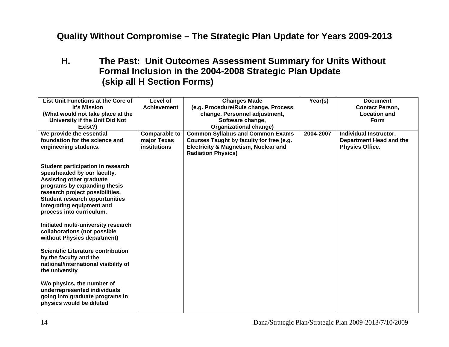## **H. The Past: Unit Outcomes Assessment Summary for Units Without Formal Inclusion in the 2004-2008 Strategic Plan Update (skip all H Section Forms)**

| List Unit Functions at the Core of<br>it's Mission<br>(What would not take place at the<br>University if the Unit Did Not<br>Exist?)                                                                                                                                     | Level of<br><b>Achievement</b>                             | <b>Changes Made</b><br>(e.g. Procedure/Rule change, Process<br>change, Personnel adjustment,<br>Software change,<br><b>Organizational change)</b>                   | Year(s)   | <b>Document</b><br><b>Contact Person,</b><br><b>Location and</b><br><b>Form</b> |
|--------------------------------------------------------------------------------------------------------------------------------------------------------------------------------------------------------------------------------------------------------------------------|------------------------------------------------------------|---------------------------------------------------------------------------------------------------------------------------------------------------------------------|-----------|---------------------------------------------------------------------------------|
| We provide the essential<br>foundation for the science and<br>engineering students.                                                                                                                                                                                      | <b>Comparable to</b><br>major Texas<br><b>institutions</b> | <b>Common Syllabus and Common Exams</b><br>Courses Taught by faculty for free (e.g.<br><b>Electricity &amp; Magnetism, Nuclear and</b><br><b>Radiation Physics)</b> | 2004-2007 | Individual Instructor,<br>Department Head and the<br><b>Physics Office.</b>     |
| Student participation in research<br>spearheaded by our faculty.<br><b>Assisting other graduate</b><br>programs by expanding thesis<br>research project possibilities.<br><b>Student research opportunities</b><br>integrating equipment and<br>process into curriculum. |                                                            |                                                                                                                                                                     |           |                                                                                 |
| Initiated multi-university research<br>collaborations (not possible<br>without Physics department)                                                                                                                                                                       |                                                            |                                                                                                                                                                     |           |                                                                                 |
| <b>Scientific Literature contribution</b><br>by the faculty and the<br>national/international visibility of<br>the university                                                                                                                                            |                                                            |                                                                                                                                                                     |           |                                                                                 |
| W/o physics, the number of<br>underrepresented individuals<br>going into graduate programs in<br>physics would be diluted                                                                                                                                                |                                                            |                                                                                                                                                                     |           |                                                                                 |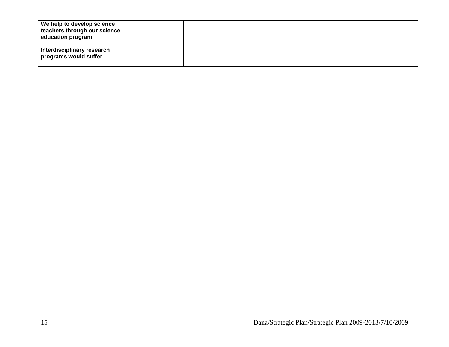| We help to develop science<br>teachers through our science<br>education program |  |  |
|---------------------------------------------------------------------------------|--|--|
| Interdisciplinary research<br>programs would suffer                             |  |  |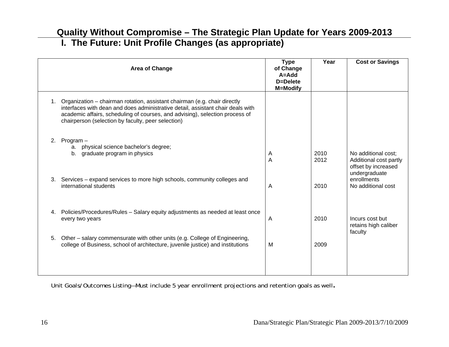**I. The Future: Unit Profile Changes (as appropriate)** 

| <b>Type</b><br>of Change<br>A=Add<br>D=Delete<br><b>M=Modify</b> | Year         | <b>Cost or Savings</b>                                               |
|------------------------------------------------------------------|--------------|----------------------------------------------------------------------|
|                                                                  |              |                                                                      |
| A<br>A                                                           | 2010<br>2012 | No additional cost;<br>Additional cost partly<br>offset by increased |
| A                                                                | 2010         | undergraduate<br>enrollments<br>No additional cost                   |
| A                                                                | 2010         | Incurs cost but<br>retains high caliber                              |
| M                                                                | 2009         | faculty                                                              |
|                                                                  |              |                                                                      |

Unit Goals/Outcomes Listing—Must include 5 year enrollment projections and retention goals as well**.**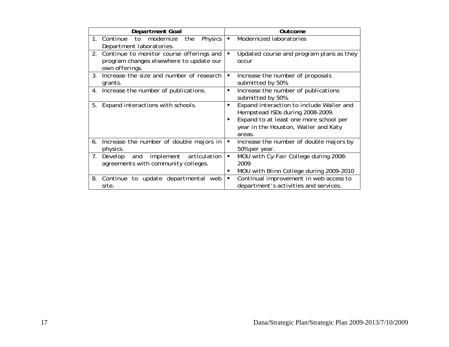| <b>Department Goal</b>                                                                                      | <b>Outcome</b>                                                                                                                                                                                  |
|-------------------------------------------------------------------------------------------------------------|-------------------------------------------------------------------------------------------------------------------------------------------------------------------------------------------------|
| 1. Continue<br><b>Physics</b><br>to<br>modernize<br>the<br>Department laboratories.                         | Modernized laboratories<br>٠                                                                                                                                                                    |
| Continue to monitor course offerings and<br>2.<br>program changes elsewhere to update our<br>own offerings. | Updated course and program plans as they<br>occur                                                                                                                                               |
| Increase the size and number of research<br>3.<br>grants.                                                   | Increase the number of proposals<br>٠<br>submitted by 50%.                                                                                                                                      |
| Increase the number of publications.<br>4.                                                                  | Increase the number of publications<br>٠<br>submitted by 50%.                                                                                                                                   |
| Expand interactions with schools.<br>5.                                                                     | Expand interaction to include Waller and<br>٠<br>Hempstead ISDs during 2008-2009.<br>Expand to at least one more school per<br>$\blacksquare$<br>year in the Houston, Waller and Katy<br>areas. |
| Increase the number of double majors in<br>6.<br>physics.                                                   | Increase the number of double majors by<br>٠<br>50% per year.                                                                                                                                   |
| implement<br>articulation<br>Develop<br>7.<br>and<br>agreements with community colleges.                    | MOU with Cy-Fair College during 2008-<br>٠<br>2009<br>MOU with Blinn College during 2009-2010<br>٠                                                                                              |
| 8.<br>to update departmental<br>Continue<br>web<br>site.                                                    | Continual improvement in web access to<br>٠<br>department's activities and services.                                                                                                            |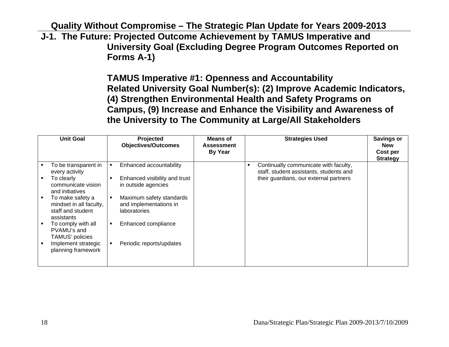**J-1. The Future: Projected Outcome Achievement by TAMUS Imperative and University Goal (Excluding Degree Program Outcomes Reported on Forms A-1)** 

> **TAMUS Imperative #1: Openness and Accountability Related University Goal Number(s): (2) Improve Academic Indicators, (4) Strengthen Environmental Health and Safety Programs on Campus, (9) Increase and Enhance the Visibility and Awareness of the University to The Community at Large/All Stakeholders**

| <b>Unit Goal</b>                                                               |   | Projected<br><b>Objectives/Outcomes</b>                            | <b>Means of</b><br><b>Assessment</b><br><b>By Year</b> |                | <b>Strategies Used</b>                                                           | <b>Savings or</b><br><b>New</b><br>Cost per<br><b>Strategy</b> |
|--------------------------------------------------------------------------------|---|--------------------------------------------------------------------|--------------------------------------------------------|----------------|----------------------------------------------------------------------------------|----------------------------------------------------------------|
| To be transparent in<br>every activity                                         |   | Enhanced accountability                                            |                                                        | $\blacksquare$ | Continually communicate with faculty,<br>staff, student assistants, students and |                                                                |
| To clearly<br>communicate vision<br>and initiatives                            |   | Enhanced visibility and trust<br>in outside agencies               |                                                        |                | their guardians, our external partners                                           |                                                                |
| To make safety a<br>mindset in all faculty,<br>staff and student<br>assistants |   | Maximum safety standards<br>and implementations in<br>laboratories |                                                        |                |                                                                                  |                                                                |
| To comply with all<br>PVAMU's and<br>TAMUS' policies                           | п | Enhanced compliance                                                |                                                        |                |                                                                                  |                                                                |
| Implement strategic<br>planning framework                                      |   | Periodic reports/updates                                           |                                                        |                |                                                                                  |                                                                |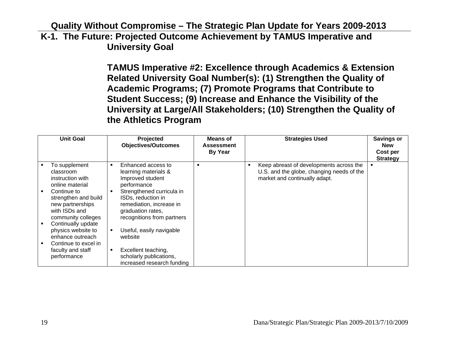**K-1. The Future: Projected Outcome Achievement by TAMUS Imperative and University Goal** 

> **TAMUS Imperative #2: Excellence through Academics & Extension Related University Goal Number(s): (1) Strengthen the Quality of Academic Programs; (7) Promote Programs that Contribute to Student Success; (9) Increase and Enhance the Visibility of the University at Large/All Stakeholders; (10) Strengthen the Quality of the Athletics Program**

| <b>Unit Goal</b>                                                                                      | Projected<br><b>Objectives/Outcomes</b>                                                                    | Means of<br><b>Assessment</b><br><b>By Year</b> |   | <b>Strategies Used</b>                                                                                                | <b>Savings or</b><br><b>New</b><br>Cost per<br><b>Strategy</b> |
|-------------------------------------------------------------------------------------------------------|------------------------------------------------------------------------------------------------------------|-------------------------------------------------|---|-----------------------------------------------------------------------------------------------------------------------|----------------------------------------------------------------|
| To supplement<br>classroom<br>instruction with<br>online material<br>Continue to                      | Enhanced access to<br>learning materials &<br>Improved student<br>performance<br>Strengthened curricula in | ٠                                               | п | Keep abreast of developments across the<br>U.S. and the globe, changing needs of the<br>market and continually adapt. |                                                                |
| strengthen and build<br>new partnerships<br>with ISDs and<br>community colleges<br>Continually update | ISDs, reduction in<br>remediation, increase in<br>graduation rates,<br>recognitions from partners          |                                                 |   |                                                                                                                       |                                                                |
| physics website to<br>enhance outreach<br>Continue to excel in                                        | Useful, easily navigable<br>website                                                                        |                                                 |   |                                                                                                                       |                                                                |
| faculty and staff<br>performance                                                                      | Excellent teaching,<br>scholarly publications,<br>increased research funding                               |                                                 |   |                                                                                                                       |                                                                |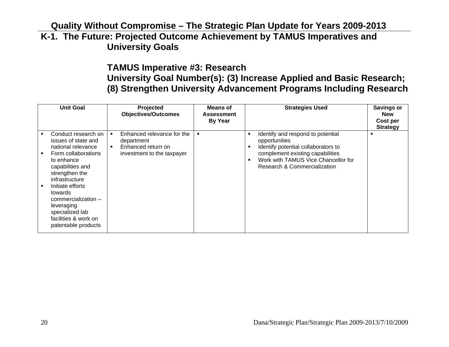#### **Quality Without Compromise – The Strategic Plan Update for Years 2009-2013 K-1. The Future: Projected Outcome Achievement by TAMUS Imperatives and University Goals**

# **TAMUS Imperative #3: Research University Goal Number(s): (3) Increase Applied and Basic Research; (8) Strengthen University Advancement Programs Including Research**

| <b>Unit Goal</b>                                                                                                                                                                                                                                                                                                        | Projected<br><b>Objectives/Outcomes</b>                                                                                          | Means of<br><b>Assessment</b><br><b>By Year</b> | <b>Strategies Used</b>                                                                                                                                                                                         | <b>Savings or</b><br><b>New</b><br>Cost per<br><b>Strategy</b> |
|-------------------------------------------------------------------------------------------------------------------------------------------------------------------------------------------------------------------------------------------------------------------------------------------------------------------------|----------------------------------------------------------------------------------------------------------------------------------|-------------------------------------------------|----------------------------------------------------------------------------------------------------------------------------------------------------------------------------------------------------------------|----------------------------------------------------------------|
| Conduct research on<br>issues of state and<br>national relevance<br>Form collaborations<br>to enhance<br>capabilities and<br>strengthen the<br>infrastructure<br>Initiate efforts<br>$\blacksquare$<br>towards<br>$commercialization -$<br>leveraging<br>specialized lab<br>facilities & work on<br>patentable products | Enhanced relevance for the<br>$\blacksquare$<br>department<br>Enhanced return on<br>$\blacksquare$<br>investment to the taxpayer |                                                 | Identify and respond to potential<br>п<br>opportunities<br>Identify potential collaborators to<br>complement existing capabilities<br>Work with TAMUS Vice Chancellor for<br>п<br>Research & Commercialization |                                                                |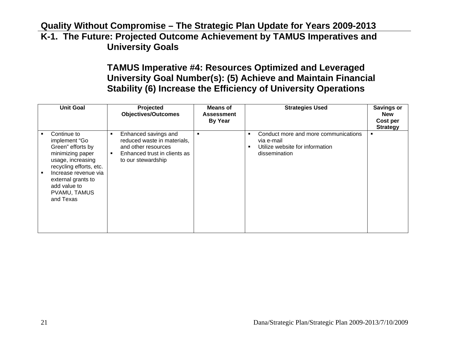#### **Quality Without Compromise – The Strategic Plan Update for Years 2009-2013 K-1. The Future: Projected Outcome Achievement by TAMUS Imperatives and University Goals**

# **TAMUS Imperative #4: Resources Optimized and Leveraged University Goal Number(s): (5) Achieve and Maintain Financial Stability (6) Increase the Efficiency of University Operations**

| <b>Unit Goal</b>                                                                                                                                                                                                 |   | Projected<br><b>Objectives/Outcomes</b>                                                                                          | <b>Means of</b><br><b>Assessment</b><br><b>By Year</b> | <b>Strategies Used</b>                                                                                           | <b>Savings or</b><br><b>New</b><br>Cost per<br><b>Strategy</b> |
|------------------------------------------------------------------------------------------------------------------------------------------------------------------------------------------------------------------|---|----------------------------------------------------------------------------------------------------------------------------------|--------------------------------------------------------|------------------------------------------------------------------------------------------------------------------|----------------------------------------------------------------|
| Continue to<br>implement "Go<br>Green" efforts by<br>minimizing paper<br>usage, increasing<br>recycling efforts, etc.<br>Increase revenue via<br>external grants to<br>add value to<br>PVAMU, TAMUS<br>and Texas | ٠ | Enhanced savings and<br>reduced waste in materials,<br>and other resources<br>Enhanced trust in clients as<br>to our stewardship | $\blacksquare$                                         | Conduct more and more communications<br>п<br>via e-mail<br>Utilize website for information<br>п<br>dissemination | п                                                              |